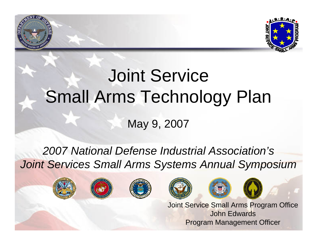

## **Click to Service** Small Arms Technology Plan This level with the level

### May 9, 2007

### 2007 National Defense Industrial Association's *Joint Services Small Arms Systems Annual Symposium*



Fourth level

•





Joint Service Small Arms Program Office John EdwardsProgram Management Officer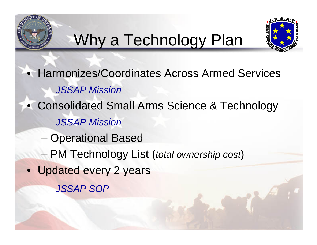# **Mhy a Technology Plan**



• Harmonizes/Coordinates Across Armed Services **JSSAP Mission** • Consolidated Small Arms Science & Technology •Fourth lines –<br>– PM Techi *JSSAP Mission*– Operational Based PM Technology List (*total ownership cost*) • Updated every 2 years *JSSAP SOP*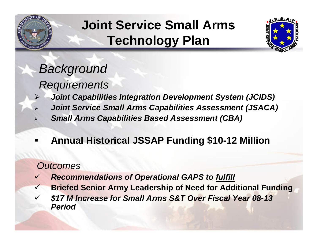

•

¾

•

¾

•

# **Click the Technology Plan Joint Service Small Arms**



#### Background *Background*

*Requirements*

Fourth level

- sequences is a position *Joint Capabilities Integration Development System (JCIDS)*
- **Fournt Service Small Arms Capabilities Assessment (JSACA)**
- ¾*Small Arms Capabilities Based Assessment (CBA)*
- Fifth level п **Annual Historical JSSAP Funding \$10-12 Million**

### *Outcomes*

- $\checkmark$ *Recommendations of Operational GAPS to fulfill*
- $\checkmark$ **Briefed Senior Army Leadership of Need for Additional Funding**
- $\checkmark$  *\$17 M Increase for Small Arms S&T Over Fiscal Year 08-13 Period*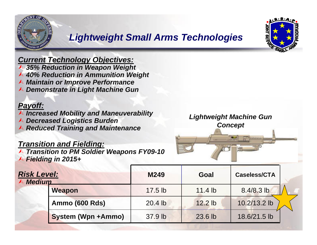![](_page_3_Picture_0.jpeg)

# Eightweight Small Arms Technologies

![](_page_3_Picture_2.jpeg)

#### *Current Technology Objectives:*

- ¿ *35% Reduction in Weapon Weight*
- **↑ 40% Reduction in Ammunition Weight**
- ¿ *Maintain or Improve Performance*
- <sup>A</sup> Demonstrate in Light Machine Gun

#### *Payoff:*

- **A Increased Mobility and Maneuverability**
- ¿ *Decreased Logistics Burden*
- **A Reduced Training and Maintenance**

### *Transition and Fielding:*<br>▲ *Transition to PM Soldier*

¿ *Transition to PM Soldier Weapons FY09-10* ¿ *Fielding in 2015+* 

![](_page_3_Picture_14.jpeg)

| <b>Risk Level:</b><br>$\land$ Medium |                           | M249      | Goal      | <b>Caseless/CTA</b> |  |
|--------------------------------------|---------------------------|-----------|-----------|---------------------|--|
|                                      | <b>Weapon</b>             | $17.5$ lb | 11.4 $lb$ | $8.4/8.3$ lb        |  |
|                                      | <b>Ammo (600 Rds)</b>     | $20.4$ lb | $12.2$ lb | 10.2/13.2 lb        |  |
|                                      | <b>System (Wpn +Ammo)</b> | 37.9 lb   | 23.6 lb   | 18.6/21.5 lb        |  |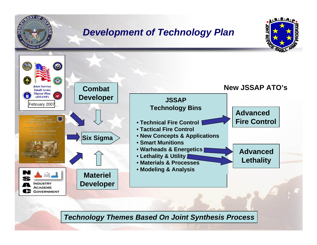![](_page_4_Picture_0.jpeg)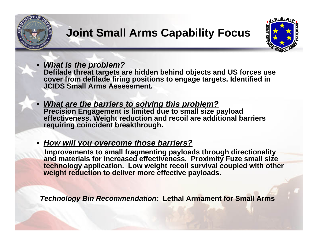![](_page_5_Picture_0.jpeg)

![](_page_5_Picture_1.jpeg)

*What is the problem?*

•

•

**Defilade threat targets are hidden behind objects and US forces use cover from defilade firing positions to engage targets. Identified in** Second Second Level 2010 **cover from defilade firing positions to engage targets. Identified in JCIDS Small Arms Assessment.**

- **Precision Engage** requiring coincident breakthrough. • *What are the barriers to solving this problem?* **Precision Engagement is limited due to small size payload effectiveness. Weight reduction and recoil are additional barriers** 
	- •*How will you overcome those barriers?*

<u>FIUW WIII yUU Q</u> **Improvements to small fragmenting payloads through directionality and materials for increased effectiveness. Proximity Fuze small size technology application. Low weight recoil survival coupled with other weight reduction to deliver more effective payloads.**

*Technology Bin Recommendation:* **Lethal Armament for Small Arms**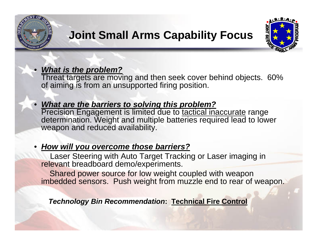![](_page_6_Picture_0.jpeg)

•

•

### **Click to the extending to each of the extending to the extending to the extending to the extending to the extending to the extending of the extending of the extending of the extending of the extending of the extending of Joint Small Arms Capability Focus**

![](_page_6_Picture_2.jpeg)

#### •*What is the problem?*

**what is the problem?**<br>Threat targets are moving and then seek cover behind objects. 60% Second level in the condition of of aiming is from an unsupported firing position.

#### • *What are the barriers to solving this problem?*

**This are the barriers to corring the presion in**<br>Precision Engagement is limited due to tactical inaccurate range weapon and reduced availability. determination. Weight and multiple batteries required lead to lower

#### <u>*• How will you overcome those barriers?*</u> •

Laser Steering with Auto Target Tracking or Laser imaging in relevant breadboard demo/experiments.

Shared power source for low weight coupled with weapon imbedded sensors. Push weight from muzzle end to rear of weapon.

*Technology Bin Recommendation***: Technical Fire Control**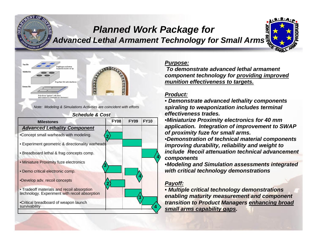### **Advanced Lethal Armament Technology for Small Arms** *Planned Work Package for*

![](_page_7_Picture_1.jpeg)

![](_page_7_Picture_2.jpeg)

Note: Modeling & Simulations Activities are coincident with efforts<br>**Schedule & Cost** 

![](_page_7_Figure_4.jpeg)

#### *Schedule & Cost*

#### *Purpose:*

To demonstrate advanced rethal armament<br>
component technology for <u>providing improved</u><br>
munition of patiumnals to taxacte *To demonstrate advanced lethal armament munition effectiveness to targets.*

#### *Product:*

• *Demonstrate advanced lethality components spiraling to weaponization includes terminal effectiveness trades.* 

•*Miniaturize Proximity electronics for 40 mm application. Integration of improvement to SWAP of proximity fuze for small arms.*

•*Demonstration of technical material components improving durability, reliability and weight to include Recoil attenuation technical advancement components*

•*Modeling and Simulation assessments integrated with critical technology demonstrations*

#### *Payoff:*

• *Multiple critical technology demonstrations enabling maturity measurement and component transition to Product Managers enhancing broad small arms capability gaps.* **<sup>4</sup>**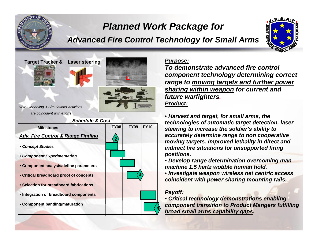### *Planned Work Package for*

# **Advanced Fire Control Technology for Small Arms**

![](_page_8_Picture_2.jpeg)

![](_page_8_Picture_3.jpeg)

*Aodeling & Simulations Activities*<br>are coincident with efforts *Note: Modeling & Simulations Activities*

•

![](_page_8_Figure_5.jpeg)

#### *Purpose:*

**Click to edit and a component technology**<br> **component technology**<br> **component technology**<br> **component technology**<br> **component technology**<br> **component technology**<br> **component** technology<br> **component** technology<br> **component** *To demonstrate advanced fire control range to moving targets and further power sharing within weapon for current and future warfighters. Product:*

> • *Harvest and target, for small arms, the technologies of automatic target detection, laser steering to increase the soldier's ability to accurately determine range to non cooperative moving targets. Improved lethality in direct and indirect fire situations for unsupported firing positions.*

• *Develop range determination overcoming man machine 1.5 hertz wobble human hold.* 

• *Investigate weapon wireless net centric access coincident with power sharing mounting rails.* 

#### *Payoff:*

• *Critical technology demonstrations enabling component transition to Product Mangers fulfilling broad small arms capability gaps.*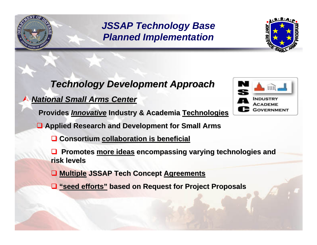# *JSSAP Technology Base*

### Click to edit Master text styles *Technology Development Approach Technology Development Approach*

#### $\mathcal{S}$  $\blacktriangle$ *National Small Arms Center National Small Arms Center*

•

Third level **Provides Provides** *Innovative Innovative* **Industry & Academia Industry & Academia Technologies Technologies**

**□ Applied Research and Development for Small Arms** 

**Q** Consortium collaboration is beneficial

**Q** Promotes **more ideas** encompassing varying technologies and **risk levels** 

**Multiple Multiple JSSAP Tech Concept JSSAP Tech Concept Agreements Agreements**

**"seed efforts" "seed efforts" based on Request for Project Proposals based on Request for Project Proposals**

![](_page_9_Picture_9.jpeg)

![](_page_9_Picture_10.jpeg)

![](_page_9_Picture_11.jpeg)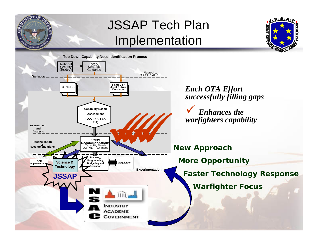![](_page_10_Figure_0.jpeg)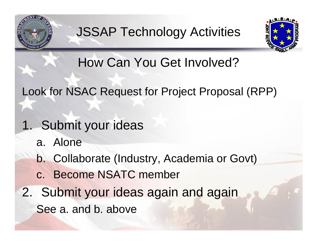![](_page_11_Picture_0.jpeg)

![](_page_11_Picture_2.jpeg)

 Click to edit Master text styles How Can You Get Involved?

Look for NSAC Request for Project Proposal (RPP)

- 1. Submit your ideas
	- $\blacksquare$ Fivile a. Alone

This level with the level

- b. Collaborate (Industry, Academia or Govt)
- c. Become NSATC member
- 2. Submit your ideas again and again See a. and b. above